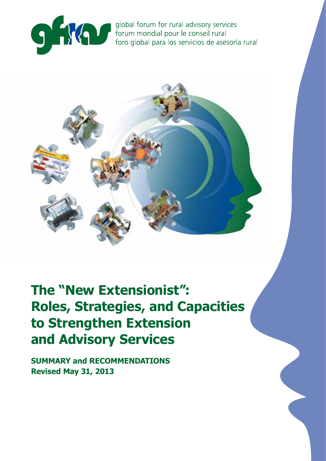

global forum for rural advisory services forum mondial pour le conseil rural foro global para los servicios de asesoría rural



# **The "New Extensionist": Roles, Strategies, and Capacities to Strengthen Extension and Advisory Services**

**SUMMARY and RECOMMENDATIONS Revised May 31, 2013**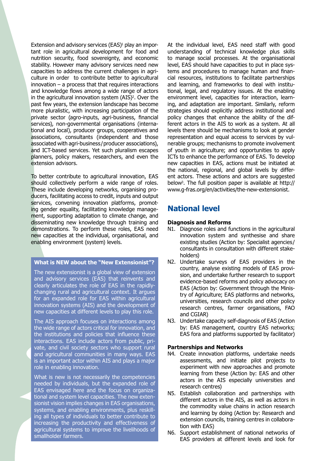Extension and advisory services (EAS)<sup>1</sup> play an important role in agricultural development for food and nutrition security, food sovereignty, and economic stability. However many advisory services need new capacities to address the current challenges in agriculture in order to contribute better to agricultural innovation  $-$  a process that that requires interactions and knowledge flows among a wide range of actors in the agricultural innovation system (AIS)<sup>2</sup>. Over the past few years, the extension landscape has become more pluralistic, with increasing participation of the private sector (agro-inputs, agri-business, financial services), non-governmental organisations (international and local), producer groups, cooperatives and associations, consultants (independent and those associated with agri-business / producer associations), and ICT-based services. Yet such pluralism escapes planners, policy makers, researchers, and even the extension advisors.

To better contribute to agricultural innovation, EAS should collectively perform a wide range of roles. These include developing networks, organising producers, facilitating access to credit, inputs and output services, convening innovation platforms, promoting gender equality, facilitating knowledge management, supporting adaptation to climate change, and disseminating new knowledge through training and demonstrations. To perform these roles, EAS need new capacities at the individual, organisational, and enabling environment (system) levels.

#### **What is NEW about the "New Extensionist"?**

The new extensionist is a global view of extension and advisory services (EAS) that reinvents and clearly articulates the role of EAS in the rapidlychanging rural and agricultural context. It argues for an expanded role for EAS within agricultural innovation systems (AIS) and the development of new capacities at different levels to play this role.

The AIS approach focuses on interactions among the wide range of actors critical for innovation, and the institutions and policies that influence these interactions. EAS include actors from public, private, and civil society sectors who support rural and agricultural communities in many ways. EAS is an important actor within AIS and plays a major role in enabling innovation.

What is new is not necessarily the competencies needed by individuals, but the expanded role of EAS envisaged here and the focus on organizational and system level capacities. The new extensionist vision implies changes in EAS organisations, systems, and enabling environments, plus reskilling all types of individuals to better contribute to increasing the productivity and effectiveness of agricultural systems to improve the livelihoods of smallholder farmers.

At the individual level, EAS need staff with good understanding of technical knowledge plus skills to manage social processes. At the organisational level, EAS should have capacities to put in place systems and procedures to manage human and financial resources, institutions to facilitate partnerships and learning, and frameworks to deal with institutional, legal, and regulatory issues. At the enabling environment level, capacities for interaction, learning, and adaptation are important. Similarly, reform strategies should explicitly address institutional and policy changes that enhance the ability of the different actors in the AIS to work as a system. At all levels there should be mechanisms to look at gender representation and equal access to services by vulnerable groups; mechanisms to promote involvement of youth in agriculture; and opportunities to apply ICTs to enhance the performance of EAS. To develop new capacities in EAS, actions must be initiated at the national, regional, and global levels by different actors. These actions and actors are suggested below3 . The full position paper is available at http:// www.g-fras.org/en/activities/the-new-extensionist.

## **National level**

#### **Diagnosis and Reforms**

- N1. Diagnose roles and functions in the agricultural innovation system and synthesise and share existing studies (Action by: Specialist agencies / consultants in consultation with different stakeholders)
- N2. Undertake surveys of EAS providers in the country, analyse existing models of EAS provision, and undertake further research to support evidence-based reforms and policy advocacy on EAS (Action by: Government through the Ministry of Agriculture; EAS platforms and networks, universities, research councils and other policy research centres, farmer organisations, FAO and CGIAR)
- N3. Undertake capacity self-diagnosis of EAS (Action by: EAS management, country EAS networks; EAS fora and platforms supported by facilitator)

#### **Partnerships and Networks**

- N4. Create innovation platforms, undertake needs assessments, and initiate pilot projects to experiment with new approaches and promote learning from these (Action by: EAS and other actors in the AIS especially universities and research centres)
- N5. Establish collaboration and partnerships with different actors in the AIS, as well as actors in the commodity value chains in action research and learning by doing (Action by: Research and extension councils, training centres in collaboration with EAS)
- N6. Support establishment of national networks of EAS providers at different levels and look for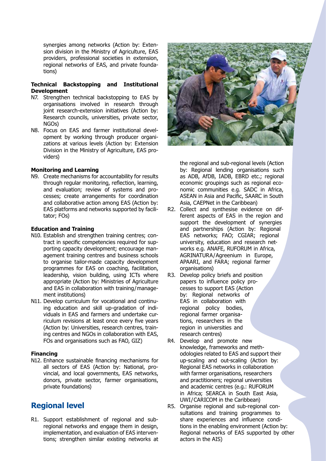synergies among networks (Action by: Extension division in the Ministry of Agriculture, EAS providers, professional societies in extension, regional networks of EAS, and private foundations)

#### **Technical Backstopping and Institutional Development**

- N7. Strengthen technical backstopping to EAS by organisations involved in research through joint research-extension initiatives (Action by: Research councils, universities, private sector, NGOs)
- N8. Focus on EAS and farmer institutional development by working through producer organizations at various levels (Action by: Extension Division in the Ministry of Agriculture, EAS providers)

#### **Monitoring and Learning**

N9. Create mechanisms for accountability for results through regular monitoring, reflection, learning, and evaluation; review of systems and processes; create arrangements for coordination and collaborative action among EAS (Action by: EAS platforms and networks supported by facilitator; FOs)

#### **Education and Training**

- N10. Establish and strengthen training centres; contract in specific competencies required for supporting capacity development; encourage management training centres and business schools to organise tailor-made capacity development programmes for EAS on coaching, facilitation, leadership, vision building, using ICTs where appropriate (Action by: Ministries of Agriculture and EAS in collaboration with training / management institutions)
- N11. Develop curriculum for vocational and continuing education and skill up-gradation of individuals in EAS and farmers and undertake curriculum revisions at least once every five years (Action by: Universities, research centres, training centres and NGOs in collaboration with EAS, FOs and organisations such as FAO, GIZ)

#### **Financing**

N12. Enhance sustainable financing mechanisms for all sectors of EAS (Action by: National, provincial, and local governments, EAS networks, donors, private sector, farmer organisations, private foundations)

## **Regional level**

R1. Support establishment of regional and subregional networks and engage them in design, implementation, and evaluation of EAS interventions; strengthen similar existing networks at



the regional and sub-regional levels (Action by: Regional lending organisations such as ADB, AfDB, IADB, EBRD etc.; regional economic groupings such as regional economic communities e.g. SADC in Africa, ASEAN in Asia and Pacific, SAARC in South Asia, CAEPNet in the Caribbean)

- R2. Collect and synthesise evidence on different aspects of EAS in the region and support the development of synergies and partnerships (Action by: Regional EAS networks; FAO; CGIAR; regional university, education and research networks e.g. ANAFE, RUFORUM in Africa, AGRINATURA/Agreenium in Europe, APAARI, and FARA; regional farmer organisations)
- R3. Develop policy briefs and position papers to influence policy processes to support EAS (Action by: Regional networks of EAS in collaboration with regional policy bodies, regional farmer organisations, researchers in the region in universities and research centres)
- R4. Develop and promote new knowledge, frameworks and methodologies related to EAS and support their up-scaling and out-scaling (Action by: Regional EAS networks in collaboration with farmer organisations, researchers and practitioners; regional universities and academic centres (e.g.: RUFORUM in Africa; SEARCA in South East Asia, UWI/CARICOM in the Caribbean)
- R5. Organise regional and sub-regional consultations and training programmes to share experiences and influence conditions in the enabling environment (Action by: Regional networks of EAS supported by other actors in the AIS)